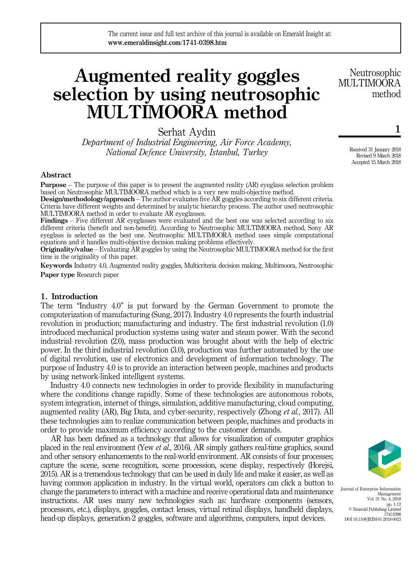# Augmented reality goggles selection by using neutrosophic MULTIMOORA method

Serhat Aydın

Department of Industrial Engineering, Air Force Academy, National Defence University, Istanbul, Turkey

### Abstract

Purpose – The purpose of this paper is to present the augmented reality (AR) eyeglass selection problem based on Neutrosophic MULTIMOORA method which is a very new multi-objective method.

Design/methodology/approach – The author evaluates five AR goggles according to six different criteria. Criteria have different weights and determined by analytic hierarchy process. The author used neutrosophic MULTIMOORA method in order to evaluate AR eyeglasses.

Findings – Five different AR eyeglasses were evaluated and the best one was selected according to six different criteria (benefit and non-benefit). According to Neutrosophic MULTIMOORA method, Sony AR eyeglass is selected as the best one. Neutrosophic MULTIMOORA method uses simple computational equations and it handles multi-objective decision making problems effectively.

Originality/value – Evaluating AR goggles by using the Neutrosophic MULTIMOORA method for the first time is the originality of this paper.

Keywords Industry 4.0, Augmented reality goggles, Multicriteria decision making, Multimoora, Neutrosophic Paper type Research paper

### 1. Introduction

The term "Industry 4.0" is put forward by the German Government to promote the computerization of manufacturing (Sung, 2017). Industry 4.0 represents the fourth industrial revolution in production; manufacturing and industry. The first industrial revolution (1.0) introduced mechanical production systems using water and steam power. With the second industrial revolution (2.0), mass production was brought about with the help of electric power. In the third industrial revolution (3.0), production was further automated by the use of digital revolution, use of electronics and development of information technology. The purpose of Industry 4.0 is to provide an interaction between people, machines and products by using network-linked intelligent systems.

Industry 4.0 connects new technologies in order to provide flexibility in manufacturing where the conditions change rapidly. Some of these technologies are autonomous robots, system integration, internet of things, simulation, additive manufacturing, cloud computing, augmented reality (AR), Big Data, and cyber-security, respectively (Zhong et al., 2017). All these technologies aim to realize communication between people, machines and products in order to provide maximum efficiency according to the customer demands.

AR has been defined as a technology that allows for visualization of computer graphics placed in the real environment (Yew et al., 2016). AR simply gathers real-time graphics, sound and other sensory enhancements to the real-world environment. AR consists of four processes; capture the scene, scene recognition, scene procession, scene display, respectively (Horejsi, 2015). AR is a tremendous technology that can be used in daily life and make it easier, as well as having common application in industry. In the virtual world, operators can click a button to change the parameters to interact with a machine and receive operational data and maintenance instructions. AR uses many new technologies such as: hardware components (sensors, processors, etc.), displays, goggles, contact lenses, virtual retinal displays, handheld displays, head-up displays, generation-2 goggles, software and algorithms, computers, input devices.

Journal of Enterprise Information Management Vol. 31 No. 4, 2018 pp. 1-12 © Emerald Publishing Limited 1741-0398 DOI 10.1108/JEIM-01-2018-0023

Neutrosophic MULTIMOOR A method

> Received 31 January 2018 Revised 9 March 2018 Accepted 15 March 2018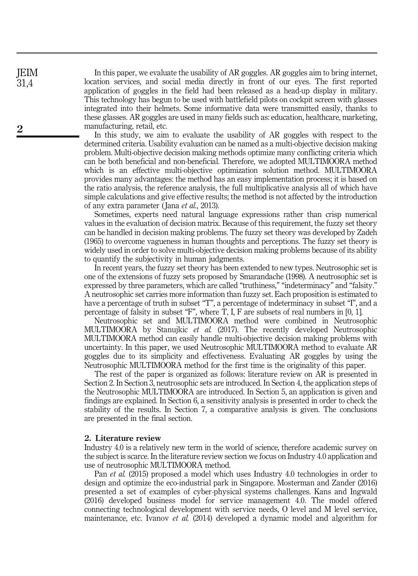In this paper, we evaluate the usability of AR goggles. AR goggles aim to bring internet, location services, and social media directly in front of our eyes. The first reported application of goggles in the field had been released as a head-up display in military. This technology has begun to be used with battlefield pilots on cockpit screen with glasses integrated into their helmets. Some informative data were transmitted easily, thanks to these glasses. AR goggles are used in many fields such as: education, healthcare, marketing, manufacturing, retail, etc.

In this study, we aim to evaluate the usability of AR goggles with respect to the determined criteria. Usability evaluation can be named as a multi-objective decision making problem. Multi-objective decision making methods optimize many conflicting criteria which can be both beneficial and non-beneficial. Therefore, we adopted MULTIMOORA method which is an effective multi-objective optimization solution method. MULTIMOORA provides many advantages: the method has an easy implementation process; it is based on the ratio analysis, the reference analysis, the full multiplicative analysis all of which have simple calculations and give effective results; the method is not affected by the introduction of any extra parameter (Jana *et al.*, 2013).

Sometimes, experts need natural language expressions rather than crisp numerical values in the evaluation of decision matrix. Because of this requirement, the fuzzy set theory can be handled in decision making problems. The fuzzy set theory was developed by Zadeh (1965) to overcome vagueness in human thoughts and perceptions. The fuzzy set theory is widely used in order to solve multi-objective decision making problems because of its ability to quantify the subjectivity in human judgments.

In recent years, the fuzzy set theory has been extended to new types. Neutrosophic set is one of the extensions of fuzzy sets proposed by Smarandache (1998). A neutrosophic set is expressed by three parameters, which are called "truthiness," "indeterminacy" and "falsity." A neutrosophic set carries more information than fuzzy set. Each proposition is estimated to have a percentage of truth in subset "T", a percentage of indeterminacy in subset "I", and a percentage of falsity in subset "F", where T, I, F are subsets of real numbers in [0, 1].

Neutrosophic set and MULTIMOORA method were combined in Neutrosophic MULTIMOORA by Stanujkic et al. (2017). The recently developed Neutrosophic MULTIMOORA method can easily handle multi-objective decision making problems with uncertainty. In this paper, we used Neutrosophic MULTIMOORA method to evaluate AR goggles due to its simplicity and effectiveness. Evaluating AR goggles by using the Neutrosophic MULTIMOORA method for the first time is the originality of this paper.

The rest of the paper is organized as follows: literature review on AR is presented in Section 2. In Section 3, neutrosophic sets are introduced. In Section 4, the application steps of the Neutrosophic MULTIMOORA are introduced. In Section 5, an application is given and findings are explained. In Section 6, a sensitivity analysis is presented in order to check the stability of the results. In Section 7, a comparative analysis is given. The conclusions are presented in the final section.

### 2. Literature review

Industry 4.0 is a relatively new term in the world of science, therefore academic survey on the subject is scarce. In the literature review section we focus on Industry 4.0 application and use of neutrosophic MULTIMOORA method.

Pan *et al.* (2015) proposed a model which uses Industry 4.0 technologies in order to design and optimize the eco-industrial park in Singapore. Mosterman and Zander (2016) presented a set of examples of cyber-physical systems challenges. Kans and Ingwald (2016) developed business model for service management 4.0. The model offered connecting technological development with service needs, O level and M level service, maintenance, etc. Ivanov *et al.* (2014) developed a dynamic model and algorithm for

JEIM 31,4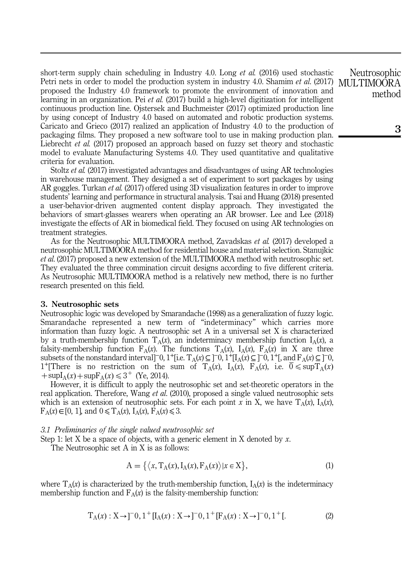short-term supply chain scheduling in Industry 4.0. Long *et al.* (2016) used stochastic Petri nets in order to model the production system in industry 4.0. Shamim *et al.* (2017) proposed the Industry 4.0 framework to promote the environment of innovation and learning in an organization. Pei *et al.* (2017) build a high-level digitization for intelligent continuous production line. Ojstersek and Buchmeister (2017) optimized production line by using concept of Industry 4.0 based on automated and robotic production systems. Caricato and Grieco (2017) realized an application of Industry 4.0 to the production of packaging films. They proposed a new software tool to use in making production plan. Liebrecht *et al.* (2017) proposed an approach based on fuzzy set theory and stochastic model to evaluate Manufacturing Systems 4.0. They used quantitative and qualitative criteria for evaluation.

Stoltz et al. (2017) investigated advantages and disadvantages of using AR technologies in warehouse management. They designed a set of experiment to sort packages by using AR goggles. Turkan *et al.* (2017) offered using 3D visualization features in order to improve students' learning and performance in structural analysis. Tsai and Huang (2018) presented a user-behavior-driven augmented content display approach. They investigated the behaviors of smart-glasses wearers when operating an AR browser. Lee and Lee (2018) investigate the effects of AR in biomedical field. They focused on using AR technologies on treatment strategies.

As for the Neutrosophic MULTIMOORA method, Zavadskas et al. (2017) developed a neutrosophic MULTIMOORA method for residential house and material selection. Stanujkic et al. (2017) proposed a new extension of the MULTIMOORA method with neutrosophic set. They evaluated the three commination circuit designs according to five different criteria. As Neutrosophic MULTIMOORA method is a relatively new method, there is no further research presented on this field.

### 3. Neutrosophic sets

Neutrosophic logic was developed by Smarandache (1998) as a generalization of fuzzy logic. Smarandache represented a new term of "indeterminacy" which carries more information than fuzzy logic. A neutrosophic set A in a universal set X is characterized by a truth-membership function  $T_A(x)$ , an indeterminacy membership function  $I_A(x)$ , a falsity-membership function  $F_A(x)$ . The functions  $T_A(x)$ ,  $I_A(x)$ ,  $F_A(x)$  in X are three subsets of the nonstandard interval]<sup>-</sup>0, 1<sup>+</sup>[i.e.  $T_A(x) \subseteq ]^{-0}$ ,  $1^+$ [I<sub>A</sub>(x)</sub> $\subseteq ]^{-0}$ ,  $1^+$ [, and  $F_A(x) \subseteq ]^{-0}$ , 1<sup>+</sup>[There is no restriction on the sum of  $T_A(x)$ ,  $I_A(x)$ ,  $F_A(x)$ , i.e.  $0 \leq \sup T_A(x)$  $+\sup I_A(x) + \sup F_A(x) \leq 3^+$  (Ye, 2014).

However, it is difficult to apply the neutrosophic set and set-theoretic operators in the real application. Therefore, Wang *et al.* (2010), proposed a single valued neutrosophic sets which is an extension of neutrosophic sets. For each point x in X, we have  $T_A(x)$ ,  $I_A(x)$ ,  $F_A(x) \in [0, 1]$ , and  $0 \le T_A(x)$ ,  $I_A(x)$ ,  $F_A(x) \le 3$ .

### 3.1 Preliminaries of the single valued neutrosophic set

Step 1: let X be a space of objects, with a generic element in X denoted by x.

The Neutrosophic set A in X is as follows:

$$
A = \{ \langle x, T_A(x), I_A(x), F_A(x) \rangle | x \in X \},
$$
\n(1)

where  $T_A(x)$  is characterized by the truth-membership function,  $I_A(x)$  is the indeterminacy membership function and  $F_A(x)$  is the falsity-membership function:

$$
T_A(x): X \to ]-0, 1^+[I_A(x): X \to ]-0, 1^+[F_A(x): X \to ]-0, 1^+[. \tag{2}
$$

Neutrosophic MULTIMOORA method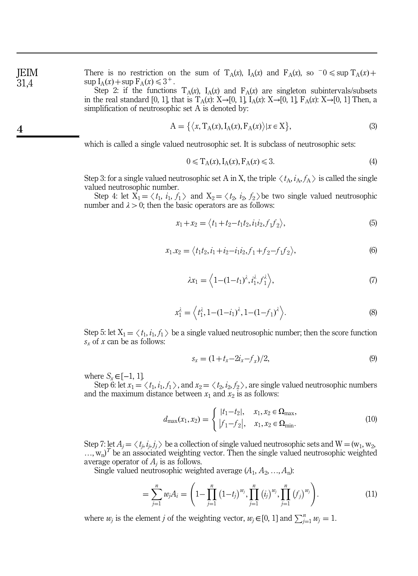JEIM 31,4

4

There is no restriction on the sum of  $T_A(x)$ ,  $I_A(x)$  and  $F_A(x)$ , so  $\bar{O} \leq \sup T_A(x) +$  $\sup I_A(x) + \sup F_A(x) \leq 3^+$ .

Step 2: if the functions  $T_A(x)$ ,  $I_A(x)$  and  $F_A(x)$  are singleton subintervals/subsets in the real standard [0, 1], that is  $T_A(x)$ : X→[0, 1],  $I_A(x)$ : X→[0, 1],  $F_A(x)$ : X→[0, 1] Then, a simplification of neutrosophic set A is denoted by:

$$
A = \{ \langle x, T_A(x), I_A(x), F_A(x) \rangle | x \in X \},
$$
\n(3)

which is called a single valued neutrosophic set. It is subclass of neutrosophic sets:

$$
0 \leqslant T_A(x), I_A(x), F_A(x) \leqslant 3. \tag{4}
$$

Step 3: for a single valued neutrosophic set A in X, the triple  $\langle t_A, i_A, f_A \rangle$  is called the single valued neutrosophic number.

Step 4: let  $X_1 = \langle t_1, i_1, f_1 \rangle$  and  $X_2 = \langle t_2, i_2, f_2 \rangle$  be two single valued neutrosophic number and  $\lambda > 0$ ; then the basic operators are as follows:

$$
x_1 + x_2 = \langle t_1 + t_2 - t_1 t_2, i_1 i_2, f_1 f_2 \rangle, \tag{5}
$$

$$
x_1.x_2 = \langle t_1t_2, i_1 + i_2 - i_1i_2, f_1 + f_2 - f_1f_2 \rangle,
$$
\n(6)

$$
\lambda x_1 = \left\langle 1 - (1 - t_1)^{\lambda}, i_1^{\lambda}, f_1^{\lambda} \right\rangle, \tag{7}
$$

$$
x_1^{\lambda} = \left\langle t_1^{\lambda}, 1 - (1 - i_1)^{\lambda}, 1 - (1 - f_1)^{\lambda} \right\rangle. \tag{8}
$$

Step 5: let  $X_1 = \langle t_1, i_1, f_1 \rangle$  be a single valued neutrosophic number; then the score function  $s_x$  of x can be as follows:

$$
s_x = (1 + t_x - 2i_x - t_x)/2,
$$
\n(9)

where  $S_x \in [-1, 1]$ .

Step 6: let  $x_1 = \langle t_1, i_1, f_1 \rangle$ , and  $x_2 = \langle t_2, i_2, f_2 \rangle$ , are single valued neutrosophic numbers and the maximum distance between  $x_1$  and  $x_2$  is as follows:

$$
d_{\max}(x_1, x_2) = \begin{cases} |t_1 - t_2|, & x_1, x_2 \in \Omega_{\max}, \\ |t_1 - t_2|, & x_1, x_2 \in \Omega_{\min}. \end{cases}
$$
(10)

Step 7: let  $A_i = \langle t_i, i_j, j_i \rangle$  be a collection of single valued neutrosophic sets and  $W = (w_1, w_2,$  $\ldots$ ,  $w_n$ )<sup>T</sup> be an associated weighting vector. Then the single valued neutrosophic weighted average operator of  $A_i$  is as follows.

Single valued neutrosophic weighted average  $(A_1, A_2, ..., A_n)$ :

$$
= \sum_{j=1}^{n} w_j A_i = \left(1 - \prod_{j=1}^{n} (1 - t_j)^{w_j}, \prod_{j=1}^{n} (i_j)^{w_j}, \prod_{j=1}^{n} (f_j)^{w_j}\right).
$$
 (11)

where  $w_j$  is the element j of the weighting vector,  $w_j \in [0, 1]$  and  $\sum_{j=1}^{n} w_j = 1$ .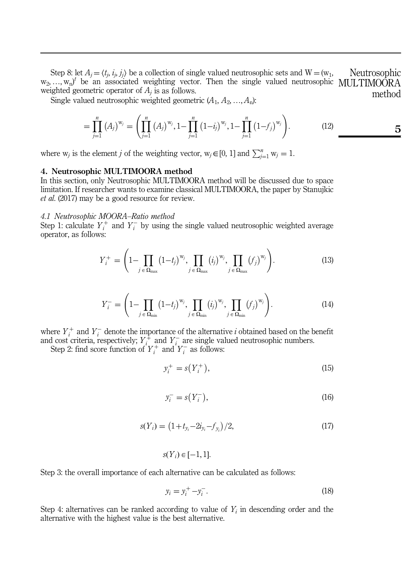Step 8: let  $A_j = \langle t_j, i_j, j_j \rangle$  be a collection of single valued neutrosophic sets and  $W = (w_1, w_2, ..., w_n)^t$  be an associated weighting vector. Then the single valued neutrosophic weighted geometric operator of  $A_i$  is as follows. Neutrosophic MULTIMOORA method

Single valued neutrosophic weighted geometric  $(A_1, A_2, ..., A_n)$ :

$$
= \prod_{j=1}^{n} (A_j)^{w_j} = \left( \prod_{j=1}^{n} (A_j)^{w_j}, 1 - \prod_{j=1}^{n} (1 - i_j)^{w_j}, 1 - \prod_{j=1}^{n} (1 - f_j)^{w_j} \right).
$$
 (12)

where  $w_j$  is the element *j* of the weighting vector,  $w_j \in [0, 1]$  and  $\sum_{j=1}^{n} w_j = 1$ .

### 4. Neutrosophic MULTIMOORA method

In this section, only Neutrosophic MULTIMOORA method will be discussed due to space limitation. If researcher wants to examine classical MULTIMOORA, the paper by Stanujkic et al. (2017) may be a good resource for review.

### 4.1 Neutrosophic MOORA–Ratio method

Step 1: calculate  $Y_i^+$  and  $Y_i^-$  by using the single valued neutrosophic weighted average operator, as follows:

$$
Y_{i}^{+} = \left(1 - \prod_{j \in \Omega_{\text{max}}} (1 - t_{j})^{w_{j}}, \prod_{j \in \Omega_{\text{max}}} (i_{j})^{w_{j}}, \prod_{j \in \Omega_{\text{max}}} (f_{j})^{w_{j}}\right).
$$
(13)

$$
Y_i^- = \left(1 - \prod_{j \in \Omega_{\min}} (1 - t_j)^{w_j}, \prod_{j \in \Omega_{\min}} (i_j)^{w_j}, \prod_{j \in \Omega_{\min}} (f_j)^{w_j}\right).
$$
(14)

where  $Y_i^+$  and  $Y_i^-$  denote the importance of the alternative i obtained based on the benefit and cost criteria, respectively;  $Y_i^+$  and  $Y_i^-$  are single valued neutrosophic numbers.

Step 2: find score function of  $Y_i^+$  and  $Y_i^-$  as follows:

$$
y_i^+ = s(Y_i^+),\tag{15}
$$

$$
y_i^- = s(Y_i^-),
$$
 (16)

$$
s(Y_i) = \left(1 + t_{y_i} - 2i_{y_i} - f_{y_i}\right)/2,\tag{17}
$$

## $s(Y_i) \in [-1, 1].$

Step 3: the overall importance of each alternative can be calculated as follows:

$$
y_i = y_i^+ - y_i^-.
$$
\n<sup>(18)</sup>

Step 4: alternatives can be ranked according to value of  $Y_i$  in descending order and the alternative with the highest value is the best alternative.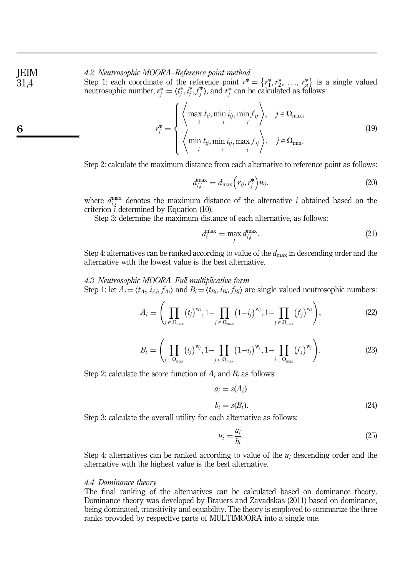4.2 Neutrosophic MOORA–Reference point method

Step 1: each coordinate of the reference point  $r^* = \{r_1^*, r_2^*, \ldots, r_n^*\}$  is a single valued neutrosophic number  $r^* = \langle t^*, i^*, f^* \rangle$  and  $r^*$  can be calculated as follows: neutrosophic number,  $r_j^* = \langle t_j^*, t_j^*, f_j^* \rangle$ , and  $r_j^*$  can be calculated as follows:

$$
r_j^* = \begin{cases} \left\langle \max_i t_{ij}, \min_i i_{ij}, \min_j f_{ij} \right\rangle, & j \in \Omega_{\text{max}}, \\ \left\langle \min_i t_{ij}, \min_i i_{ij}, \max_j f_{ij} \right\rangle, & j \in \Omega_{\text{min}}. \end{cases}
$$
(19)

Step 2: calculate the maximum distance from each alternative to reference point as follows:

$$
d_{ij}^{\max} = d_{\max} \left( r_{ij}, r_j^* \right) w_j. \tag{20}
$$

where  $d_{ij}^{\text{max}}$  denotes the maximum distance of the alternative *i* obtained based on the criterion *j* determined by Equation (10).

Step 3: determine the maximum distance of each alternative, as follows:

$$
d_i^{\max} = \max_j d_{i,j}^{\max}.
$$
\n(21)

Step 4: alternatives can be ranked according to value of the  $d_{\text{max}}$  in descending order and the alternative with the lowest value is the best alternative.

### 4.3 Neutrosophic MOORA–Full multiplicative form Step 1: let  $A_i = \langle t_{Ai}, i_{Ai}, f_{Ai} \rangle$  and  $B_i = \langle t_{Bi}, i_{Bi}, f_{Bi} \rangle$  are single valued neutrosophic numbers:

$$
A_i = \left(\prod_{j \in \Omega_{\text{max}}}(t_j)^{w_j}, 1 - \prod_{j \in \Omega_{\text{max}}}(1 - i_j)^{w_j}, 1 - \prod_{j \in \Omega_{\text{max}}}(f_j)^{w_j}\right),\tag{22}
$$

$$
B_i = \left(\prod_{j \in \Omega_{\text{max}}}(t_j)^{w_j}, 1 - \prod_{j \in \Omega_{\text{max}}}(1 - i_j)^{w_j}, 1 - \prod_{j \in \Omega_{\text{max}}}(f_j)^{w_j}\right).
$$
(23)

Step 2: calculate the score function of  $A_i$  and  $B_i$  as follows:

$$
a_i = s(A_i)
$$
  
\n
$$
b_i = s(B_i).
$$
\n(24)

Step 3: calculate the overall utility for each alternative as follows:

$$
u_i = \frac{a_i}{b_i}.\tag{25}
$$

Step 4: alternatives can be ranked according to value of the  $u_i$  descending order and the alternative with the highest value is the best alternative.

### 4.4 Dominance theory

The final ranking of the alternatives can be calculated based on dominance theory. Dominance theory was developed by Brauers and Zavadskas (2011) based on dominance, being dominated, transitivity and equability. The theory is employed to summarize the three ranks provided by respective parts of MULTIMOORA into a single one.

JEIM 31,4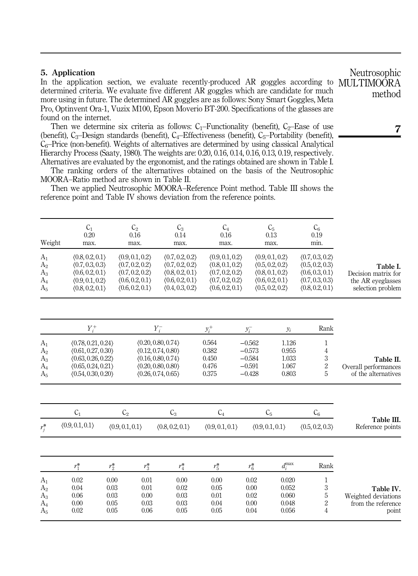### 5. Application

In the application section, we evaluate recently-produced AR goggles according to determined criteria. We evaluate five different AR goggles which are candidate for much more using in future. The determined AR goggles are as follows: Sony Smart Goggles, Meta Pro, Optinvent Ora-1, Vuzix M100, Epson Moverio BT-200. Specifications of the glasses are found on the internet.

Then we determine six criteria as follows:  $C_1$ –Functionality (benefit),  $C_2$ –Ease of use (benefit),  $C_3$ –Design standards (benefit),  $C_4$ –Effectiveness (benefit),  $C_5$ –Portability (benefit),  $C_6$ –Price (non-benefit). Weights of alternatives are determined by using classical Analytical Hierarchy Process (Saaty, 1980). The weights are: 0.20, 0.16, 0.14, 0.16, 0.13, 0.19, respectively. Alternatives are evaluated by the ergonomist, and the ratings obtained are shown in Table I.

The ranking orders of the alternatives obtained on the basis of the Neutrosophic MOORA–Ratio method are shown in Table II.

Then we applied Neutrosophic MOORA–Reference Point method. Table III shows the reference point and Table IV shows deviation from the reference points.

| Weight<br>A <sub>1</sub><br>A <sub>2</sub><br>$A_3$<br>$A_4$<br>A <sub>5</sub> | $C_1$<br>0.20<br>max.<br>(0.8, 0.2, 0.1)<br>(0.7, 0.3, 0.3)<br>(0.6, 0.2, 0.1)<br>(0.9, 0.1, 0.2)<br>(0.8, 0.2, 0.1)  |                                                 | C <sub>2</sub><br>0.16<br>max.<br>(0.9, 0.1, 0.2)<br>(0.7, 0.2, 0.2)<br>(0.7, 0.2, 0.2)<br>(0.6, 0.2, 0.1)<br>(0.6, 0.2, 0.1) | $C_3$<br>0.14<br>max.<br>(0.7, 0.2, 0.2)<br>(0.7, 0.2, 0.2)<br>(0.8, 0.2, 0.1)<br>(0.6, 0.2, 0.1)<br>(0.4, 0.3, 0.2)  | $C_4$<br>0.16<br>max.<br>(0.9, 0.1, 0.2)<br>(0.8, 0.1, 0.2)<br>(0.7, 0.2, 0.2)<br>(0.7, 0.2, 0.2)<br>(0.6, 0.2, 0.1) |                                                                     | C <sub>5</sub><br>0.13<br>max.<br>(0.9, 0.1, 0.2)<br>(0.5, 0.2, 0.2)<br>(0.8, 0.1, 0.2)<br>(0.6, 0.2, 0.1)<br>(0.5, 0.2, 0.2) | $C_6$<br>0.19<br>min.<br>(0.7, 0.3, 0.2)<br>(0.5, 0.2, 0.3)<br>(0.6, 0.3, 0.1)<br>(0.7, 0.3, 0.3)<br>(0.8, 0.2, 0.1) | Table I.<br>Decision matrix for<br>the AR eveglasses<br>selection problem |
|--------------------------------------------------------------------------------|-----------------------------------------------------------------------------------------------------------------------|-------------------------------------------------|-------------------------------------------------------------------------------------------------------------------------------|-----------------------------------------------------------------------------------------------------------------------|----------------------------------------------------------------------------------------------------------------------|---------------------------------------------------------------------|-------------------------------------------------------------------------------------------------------------------------------|----------------------------------------------------------------------------------------------------------------------|---------------------------------------------------------------------------|
| $A_1$<br>A <sub>2</sub><br>$A_3$<br>$A_4$<br>$A_5$                             | $Y_i^+$<br>(0.78, 0.21, 0.24)<br>(0.61, 0.27, 0.30)<br>(0.63, 0.26, 0.22)<br>(0.65, 0.24, 0.21)<br>(0.54, 0.30, 0.20) |                                                 |                                                                                                                               | $Y_i^-$<br>(0.20, 0.80, 0.74)<br>(0.12, 0.74, 0.80)<br>(0.16, 0.80, 0.74)<br>(0.20, 0.80, 0.80)<br>(0.26, 0.74, 0.65) | $y_i^+$<br>0.564<br>0.382<br>0.450<br>0.476<br>0.375                                                                 | $y_i^-$<br>$-0.562$<br>$-0.573$<br>$-0.584$<br>$-0.591$<br>$-0.428$ | $y_i$<br>1.126<br>0.955<br>1.033<br>1.067<br>0.803                                                                            | Rank<br>1<br>$\overline{4}$<br>3<br>$\overline{2}$<br>5                                                              | Table II.<br>Overall performances<br>of the alternatives                  |
| $r_i^*$                                                                        | $C_1$<br>(0.9, 0.1, 0.1)                                                                                              | $\rm C_2$<br>(0.9, 0.1, 0.1)                    |                                                                                                                               | $C_3$<br>(0.8, 0.2, 0.1)                                                                                              | C <sub>4</sub><br>(0.9, 0.1, 0.1)                                                                                    |                                                                     | C <sub>5</sub><br>(0.9, 0.1, 0.1)                                                                                             | $C_6$<br>(0.5, 0.2, 0.3)                                                                                             | Table III.<br>Reference points                                            |
| A <sub>1</sub><br>A <sub>2</sub><br>$A_3$<br>$A_4$<br>A <sub>5</sub>           | $r_1^*$<br>0.02<br>0.04<br>0.06<br>0.00<br>0.02                                                                       | $r_2^*$<br>0.00<br>0.03<br>0.03<br>0.05<br>0.05 | $r_3^*$<br>0.01<br>0.01<br>0.00<br>0.03<br>0.06                                                                               | $r_4^*$<br>0.00<br>0.02<br>0.03<br>0.03<br>0.05                                                                       | $r_5^*$<br>0.00<br>0.05<br>0.01<br>0.04<br>0.05                                                                      | $r_6^*$<br>0.02<br>0.00<br>0.02<br>0.00<br>0.04                     | $d_i^{\max}$<br>0.020<br>0.052<br>0.060<br>0.048<br>0.056                                                                     | Rank<br>1<br>3<br>$\mathbf 5$<br>$\overline{2}$<br>$\overline{4}$                                                    | Table IV.<br>Weighted deviations<br>from the reference<br>point           |

Neutrosophic MULTIMOORA method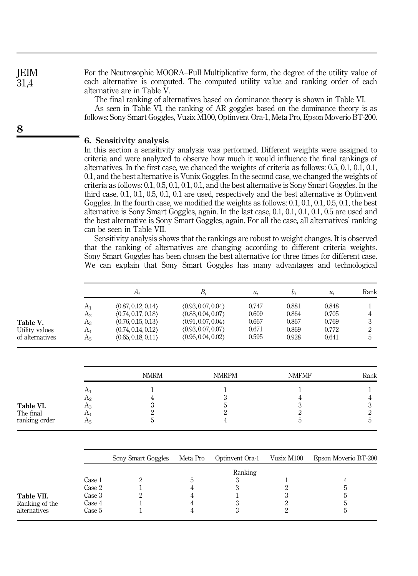JEIM 31,4

8

For the Neutrosophic MOORA–Full Multiplicative form, the degree of the utility value of each alternative is computed. The computed utility value and ranking order of each alternative are in Table V.

The final ranking of alternatives based on dominance theory is shown in Table VI.

As seen in Table VI, the ranking of AR goggles based on the dominance theory is as follows: Sony Smart Goggles, Vuzix M100, Optinvent Ora-1, Meta Pro, Epson Moverio BT-200.

### 6. Sensitivity analysis

In this section a sensitivity analysis was performed. Different weights were assigned to criteria and were analyzed to observe how much it would influence the final rankings of alternatives. In the first case, we chanced the weights of criteria as follows: 0.5, 0.1, 0.1, 0.1, 0.1, and the best alternative is Vunix Goggles. In the second case, we changed the weights of criteria as follows: 0.1, 0.5, 0.1, 0.1, 0.1, and the best alternative is Sony Smart Goggles. In the third case, 0.1, 0.1, 0.5, 0.1, 0.1 are used, respectively and the best alternative is Optinvent Goggles. In the fourth case, we modified the weights as follows: 0.1, 0.1, 0.1, 0.5, 0.1, the best alternative is Sony Smart Goggles, again. In the last case, 0.1, 0.1, 0.1, 0.1, 0.5 are used and the best alternative is Sony Smart Goggles, again. For all the case, all alternatives' ranking can be seen in Table VII.

Sensitivity analysis shows that the rankings are robust to weight changes. It is observed that the ranking of alternatives are changing according to different criteria weights. Sony Smart Goggles has been chosen the best alternative for three times for different case. We can explain that Sony Smart Goggles has many advantages and technological

|                 |                | $A_i$              | $B_i$              | $a_i$ | $b_i$          | $u_i$ | Rank |
|-----------------|----------------|--------------------|--------------------|-------|----------------|-------|------|
|                 | A <sub>1</sub> | (0.87, 0.12, 0.14) | (0.93, 0.07, 0.04) | 0.747 | 0.881          | 0.848 |      |
|                 | $A_2$          | (0.74, 0.17, 0.18) | (0.88, 0.04, 0.07) | 0.609 | 0.864          | 0.705 | 4    |
| Table V.        | $A_3$          | (0.76, 0.15, 0.13) | (0.91, 0.07, 0.04) | 0.667 | 0.867          | 0.769 | 3    |
| Utility values  | $A_4$          | (0.74, 0.14, 0.12) | (0.93, 0.07, 0.07) | 0.671 | 0.869          | 0.772 | 2    |
| of alternatives | $A_5$          | (0.65, 0.18, 0.11) | (0.96, 0.04, 0.02) | 0.595 | 0.928          | 0.641 | 5    |
|                 |                | <b>NMRM</b>        | <b>NMRPM</b>       |       | <b>NMFMF</b>   |       | Rank |
|                 | $A_1$          |                    |                    |       |                |       |      |
|                 | A <sub>2</sub> | 4                  | 3                  |       | 4              |       | 4    |
| Table VI.       | $A_3$          | 3                  | 5                  |       | 3              |       | 3    |
| The final       | $A_4$          | 2                  | 2                  |       | $\overline{2}$ |       | 2    |
| ranking order   | $A_5$          | 5                  |                    |       | 5              |       | 5    |

|                                              |                                                | Sony Smart Goggles | Meta Pro | Optinvent Ora-1 | Vuzix M100 | Epson Moverio BT-200 |
|----------------------------------------------|------------------------------------------------|--------------------|----------|-----------------|------------|----------------------|
| Table VII.<br>Ranking of the<br>alternatives | Case 1<br>Case 2<br>Case 3<br>Case 4<br>Case 5 |                    |          | Ranking         |            | .,                   |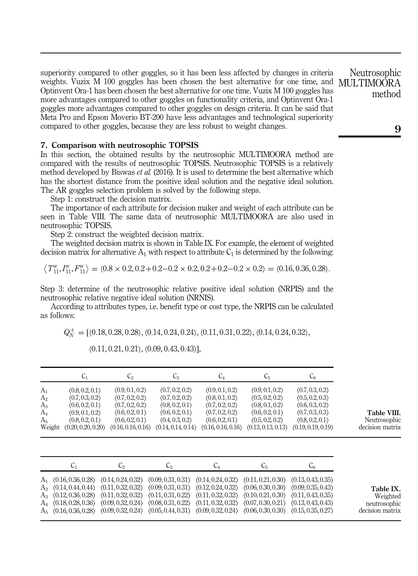superiority compared to other goggles, so it has been less affected by changes in criteria weights. Vuzix M 100 goggles has been chosen the best alternative for one time, and Optinvent Ora-1 has been chosen the best alternative for one time. Vuzix M 100 goggles has more advantages compared to other goggles on functionality criteria, and Optinvent Ora-1 goggles more advantages compared to other goggles on design criteria. It can be said that Meta Pro and Epson Moverio BT-200 have less advantages and technological superiority compared to other goggles, because they are less robust to weight changes.

### 7. Comparison with neutrosophic TOPSIS

In this section, the obtained results by the neutrosophic MULTIMOORA method are compared with the results of neutrosophic TOPSIS. Neutrosophic TOPSIS is a relatively method developed by Biswas *et al.* (2016). It is used to determine the best alternative which has the shortest distance from the positive ideal solution and the negative ideal solution. The AR goggles selection problem is solved by the following steps.

Step 1: construct the decision matrix.

The importance of each attribute for decision maker and weight of each attribute can be seen in Table VIII. The same data of neutrosophic MULTIMOORA are also used in neutrosophic TOPSIS.

Step 2: construct the weighted decision matrix.

The weighted decision matrix is shown in Table IX. For example, the element of weighted decision matrix for alternative  $A_1$  with respect to attribute  $C_1$  is determined by the following:

$$
\langle T_{11}^w, T_{11}^w, F_{11}^w \rangle = \langle 0.8 \times 0.2, 0.2 + 0.2 - 0.2 \times 0.2, 0.2 + 0.2 - 0.2 \times 0.2 \rangle = \langle 0.16, 0.36, 0.28 \rangle.
$$

Step 3: determine of the neutrosophic relative positive ideal solution (NRPIS) and the neutrosophic relative negative ideal solution (NRNIS).

According to attributes types, i.e. benefit type or cost type, the NRPIS can be calculated as follows:

 $Q_N^+ = \left[ \langle 0.18, 0.28, 0.28 \rangle, \langle 0.14, 0.24, 0.24 \rangle, \langle 0.11, 0.31, 0.22 \rangle, \langle 0.14, 0.24, 0.32 \rangle, \right]$ 

|                | $C_{1}$            | C2                 | C3                 | $\mathrm{C}_4$     | C <sub>5</sub>     | $C_6$              |
|----------------|--------------------|--------------------|--------------------|--------------------|--------------------|--------------------|
| A <sub>1</sub> | (0.8, 0.2, 0.1)    | (0.9, 0.1, 0.2)    | (0.7, 0.2, 0.2)    | (0.9, 0.1, 0.2)    | (0.9, 0.1, 0.2)    | (0.7, 0.3, 0.2)    |
| A <sub>2</sub> | (0.7, 0.3, 0.2)    | (0.7, 0.2, 0.2)    | (0.7, 0.2, 0.2)    | (0.8, 0.1, 0.2)    | (0.5, 0.2, 0.2)    | (0.5, 0.2, 0.3)    |
| $A_3$          | (0.6, 0.2, 0.1)    | (0.7, 0.2, 0.2)    | (0.8, 0.2, 0.1)    | (0.7, 0.2, 0.2)    | (0.8, 0.1, 0.2)    | (0.6, 0.3, 0.2)    |
| $A_4$          | (0.9, 0.1, 0.2)    | (0.6, 0.2, 0.1)    | (0.6, 0.2, 0.1)    | (0.7, 0.2, 0.2)    | (0.6, 0.2, 0.1)    | (0.7, 0.3, 0.3)    |
| A <sub>5</sub> | (0.8, 0.2, 0.1)    | (0.6, 0.2, 0.1)    | (0.4, 0.3, 0.2)    | (0.6, 0.2, 0.1)    | (0.5, 0.2, 0.2)    | (0.8, 0.2, 0.1)    |
| Weight         | (0.20, 0.20, 0.20) | (0.16, 0.16, 0.16) | (0.14, 0.14, 0.14) | (0.16, 0.16, 0.16) | (0.13, 0.13, 0.13) | (0.19, 0.19, 0.19) |

|  |  | $(0.11, 0.21, 0.21), (0.09, 0.43, 0.43)$ ], |
|--|--|---------------------------------------------|
|  |  |                                             |

| ◡ | しっ | Ų3 | C4                                                                                                                                  | U5 |  |
|---|----|----|-------------------------------------------------------------------------------------------------------------------------------------|----|--|
|   |    |    | $A_1$ (0.16, 0.36, 0.28) (0.14, 0.24, 0.32) (0.09, 0.31, 0.31) (0.14, 0.24, 0.32) (0.11, 0.21, 0.30) (0.13, 0.43, 0.35)             |    |  |
|   |    |    | $A_2$ (0.14, 0.44, 0.44) (0.11, 0.32, 0.32) (0.09, 0.31, 0.31) (0.12, 0.24, 0.32) (0.06, 0.30, 0.30) (0.09, 0.35, 0.43)             |    |  |
|   |    |    | $A_3$ $(0.12, 0.36, 0.28)$ $(0.11, 0.32, 0.32)$ $(0.11, 0.31, 0.22)$ $(0.11, 0.32, 0.32)$ $(0.10, 0.21, 0.30)$ $(0.11, 0.43, 0.35)$ |    |  |
|   |    |    | $A_4$ $(0.18, 0.28, 0.36)$ $(0.09, 0.32, 0.24)$ $(0.08, 0.31, 0.22)$ $(0.11, 0.32, 0.32)$ $(0.07, 0.30, 0.21)$ $(0.13, 0.43, 0.43)$ |    |  |
|   |    |    | $A_5$ (0.16, 0.36, 0.28) (0.09, 0.32, 0.24) (0.05, 0.44, 0.31) (0.09, 0.32, 0.24) (0.06, 0.30, 0.30) (0.15, 0.35, 0.27)             |    |  |

Neutrosophic MULTIMOORA method

9

Table VIII. Neutrosophic decision matrix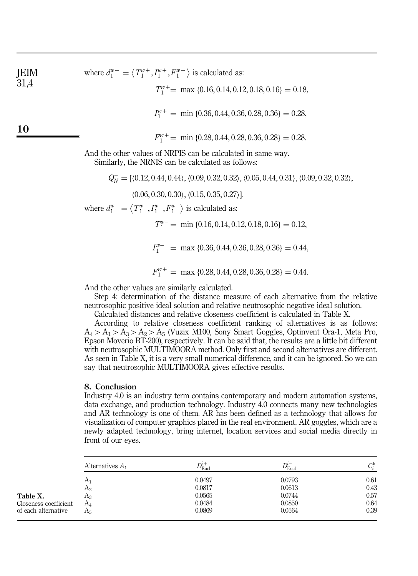JEM where 
$$
d_1^{w+} = \langle T_1^{w+}, T_1^{w+}, F_1^{w+} \rangle
$$
 is calculated as:  
\n31,4  
\n $T_1^{w+} = \max \{0.16, 0.14, 0.12, 0.18, 0.16\} = 0.18,$   
\n $I_1^{w+} = \min \{0.36, 0.44, 0.36, 0.28, 0.36\} = 0.28,$   
\n10  
\n $F_1^{w+} = \min \{0.28, 0.44, 0.28, 0.36, 0.28\} = 0.28.$   
\nAnd the other values of NRPIS can be calculated in same way.  
\nSimilarly, the NRNIS can be calculated as follows:

 $Q_N^-$  = [ $\langle 0.12, 0.44, 0.44 \rangle$ ,  $\langle 0.09, 0.32, 0.32 \rangle$ ,  $\langle 0.05, 0.44, 0.31 \rangle$ ,  $\langle 0.09, 0.32, 0.32 \rangle$ ,

 $(0.06, 0.30, 0.30)$ ,  $(0.15, 0.35, 0.27)$ ].

where  $d_1^{w-} = \langle T_1^{w-}, I_1^{w-}, F_1^{w-} \rangle$  is calculated as:

 $T_1^{w-}$  = min {0.16, 0.14, 0.12, 0.18, 0.16} = 0.12,

 $I_1^{w-}$  = max {0.36, 0.44, 0.36, 0.28, 0.36} = 0.44,

 $F_1^{w+}$  = max {0.28, 0.44, 0.28, 0.36, 0.28} = 0.44.

And the other values are similarly calculated.

Step 4: determination of the distance measure of each alternative from the relative neutrosophic positive ideal solution and relative neutrosophic negative ideal solution.

Calculated distances and relative closeness coefficient is calculated in Table X.

According to relative closeness coefficient ranking of alternatives is as follows:  $A_4 > A_1 > A_3 > A_2 > A_5$  (Vuzix M100, Sony Smart Goggles, Optinvent Ora-1, Meta Pro, Epson Moverio BT-200), respectively. It can be said that, the results are a little bit different with neutrosophic MULTIMOORA method. Only first and second alternatives are different. As seen in Table X, it is a very small numerical difference, and it can be ignored. So we can say that neutrosophic MULTIMOORA gives effective results.

### 8. Conclusion

Industry 4.0 is an industry term contains contemporary and modern automation systems, data exchange, and production technology. Industry 4.0 connects many new technologies and AR technology is one of them. AR has been defined as a technology that allows for visualization of computer graphics placed in the real environment. AR goggles, which are a newly adapted technology, bring internet, location services and social media directly in front of our eyes.

|                       | Alternatives $A_1$ | $D_{\mathrm{Eucl}}^i$ | $\nu_{\text{\tiny{Eucl}}}$ | $C_i^*$ |
|-----------------------|--------------------|-----------------------|----------------------------|---------|
|                       | A <sub>1</sub>     | 0.0497                | 0.0793                     | 0.61    |
|                       | A <sub>2</sub>     | 0.0817                | 0.0613                     | 0.43    |
| Table X.              | Aз                 | 0.0565                | 0.0744                     | 0.57    |
| Closeness coefficient | $A_4$              | 0.0484                | 0.0850                     | 0.64    |
| of each alternative   | Α5                 | 0.0869                | 0.0564                     | 0.39    |
|                       |                    |                       |                            |         |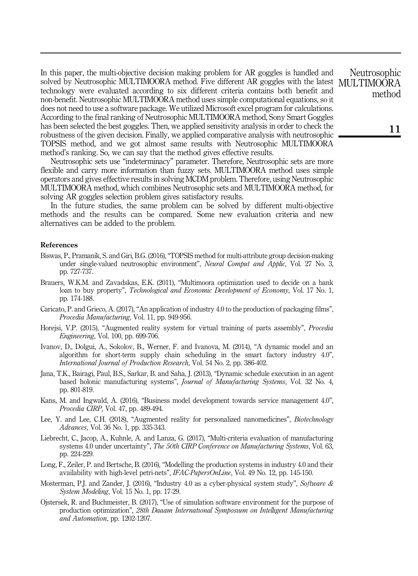In this paper, the multi-objective decision making problem for AR goggles is handled and solved by Neutrosophic MULTIMOORA method. Five different AR goggles with the latest technology were evaluated according to six different criteria contains both benefit and non-benefit. Neutrosophic MULTIMOORA method uses simple computational equations, so it does not need to use a software package. We utilized Microsoft excel program for calculations. According to the final ranking of Neutrosophic MULTIMOORA method, Sony Smart Goggles has been selected the best goggles. Then, we applied sensitivity analysis in order to check the robustness of the given decision. Finally, we applied comparative analysis with neutrosophic TOPSIS method, and we got almost same results with Neutrosophic MULTIMOORA method's ranking. So, we can say that the method gives effective results.

Neutrosophic sets use "indeterminacy" parameter. Therefore, Neutrosophic sets are more flexible and carry more information than fuzzy sets. MULTIMOORA method uses simple operators and gives effective results in solving MCDM problem. Therefore, using Neutrosophic MULTIMOORA method, which combines Neutrosophic sets and MULTIMOORA method, for solving AR goggles selection problem gives satisfactory results.

In the future studies, the same problem can be solved by different multi-objective methods and the results can be compared. Some new evaluation criteria and new alternatives can be added to the problem.

#### References

- Biswas, P., Pramanik, S. and Giri, B.G. (2016), "TOPSIS method for multi-attribute group decision-making under single-valued neutrosophic environment", Neural Comput and Applic, Vol. 27 No. 3, pp. 727-737.
- Brauers, W.K.M. and Zavadskas, E.K. (2011), "Multimoora optimization used to decide on a bank loan to buy property", *Technological and Economic Development of Economy*, Vol. 17 No. 1, pp. 174-188.
- Caricato, P. and Grieco, A. (2017), "An application of industry 4.0 to the production of packaging films", Procedia Manufacturing, Vol. 11, pp. 949-956.
- Horejsi, V.P. (2015), "Augmented reality system for virtual training of parts assembly", *Procedia* Engineering, Vol. 100, pp. 699-706.
- Ivanov, D., Dolgui, A., Sokolov, B., Werner, F. and Ivanova, M. (2014), "A dynamic model and an algorithm for short-term supply chain scheduling in the smart factory industry 4.0", International Journal of Production Research, Vol. 54 No. 2, pp. 386-402.
- Jana, T.K., Bairagi, Paul, B.S., Sarkar, B. and Saha, J. (2013), "Dynamic schedule execution in an agent based holonic manufacturing systems", Journal of Manufacturing Systems, Vol. 32 No. 4, pp. 801-819.
- Kans, M. and Ingwald, A. (2016), "Business model development towards service management 4.0", Procedia CIRP, Vol. 47, pp. 489-494.
- Lee, Y. and Lee, C.H. (2018), "Augmented reality for personalized nanomedicines", *Biotechnology* Advances, Vol. 36 No. 1, pp. 335-343.
- Liebrecht, C., Jacop, A., Kuhnle, A. and Lanza, G. (2017), "Multi-criteria evaluation of manufacturing systems 4.0 under uncertainty", The 50th CIRP Conference on Manufacturing Systems, Vol. 63, pp. 224-229.
- Long, F., Zeiler, P. and Bertsche, B. (2016), "Modelling the production systems in industry 4.0 and their availability with high-level petri-nets", IFAC-PapersOnLine, Vol. 49 No. 12, pp. 145-150.
- Mosterman, P.J. and Zander, J. (2016), "Industry 4.0 as a cyber-physical system study", Software  $\&$ System Modeling, Vol. 15 No. 1, pp. 17-29.
- Ojstersek, R. and Buchmeister, B. (2017), "Use of simulation software environment for the purpose of production optimization", 28th Daaam International Symposium on Intelligent Manufacturing and Automation, pp. 1202-1207.

Neutrosophic MULTIMOORA method